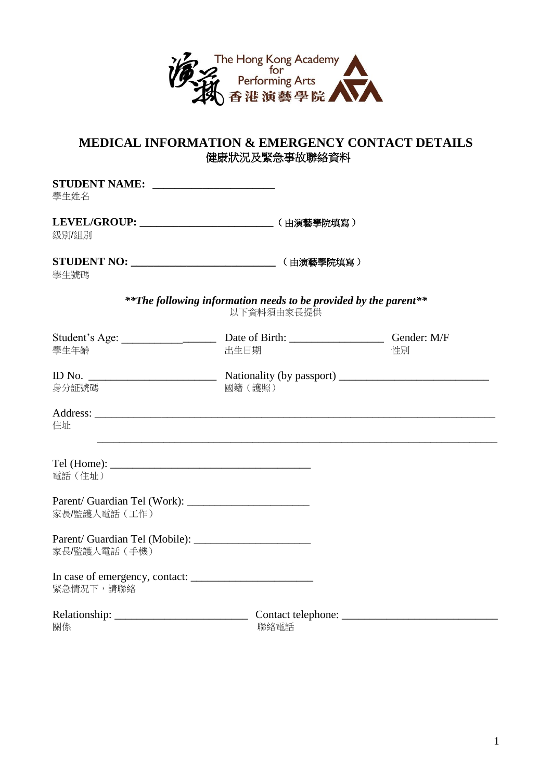

# **MEDICAL INFORMATION & EMERGENCY CONTACT DETAILS** 健康狀況及緊急事故聯絡資料

| 學生姓名                                                                |                                                                                 |    |
|---------------------------------------------------------------------|---------------------------------------------------------------------------------|----|
| LEVEL/GROUP: ___________________________________ (由演藝學院填寫)<br>級別/組別 |                                                                                 |    |
| 學生號碼                                                                |                                                                                 |    |
|                                                                     | ** The following information needs to be provided by the parent**<br>以下資料須由家長提供 |    |
| 學生年齡                                                                | 出生日期                                                                            | 性別 |
| 身分証號碼                                                               | 國籍(護照)                                                                          |    |
| 住址                                                                  |                                                                                 |    |
| 電話 (住址)                                                             |                                                                                 |    |
| 家長/監護人電話(工作)                                                        |                                                                                 |    |
| 家長/監護人電話(手機)                                                        |                                                                                 |    |
| 緊急情況下,請聯絡                                                           |                                                                                 |    |
| 關係                                                                  | 聯絡電話                                                                            |    |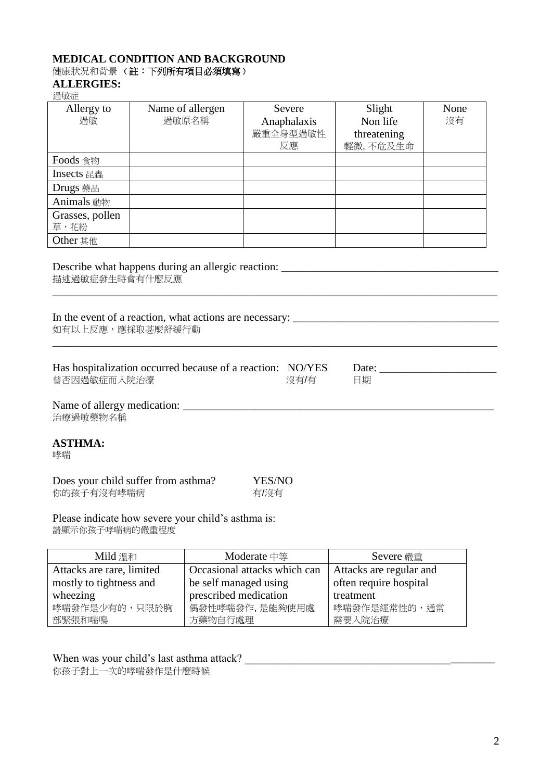## **MEDICAL CONDITION AND BACKGROUND**

# 健康狀況和背景(註:下列所有項目必須填寫)

# **ALLERGIES:**

| 過敏症                     |                                                                                                                                                 |                                         |                                               |            |
|-------------------------|-------------------------------------------------------------------------------------------------------------------------------------------------|-----------------------------------------|-----------------------------------------------|------------|
| Allergy to<br>過敏        | Name of allergen<br>過敏原名稱                                                                                                                       | Severe<br>Anaphalaxis<br>嚴重全身型過敏性<br>反應 | Slight<br>Non life<br>threatening<br>輕微,不危及生命 | None<br>沒有 |
| Foods 食物                |                                                                                                                                                 |                                         |                                               |            |
| Insects 昆蟲              |                                                                                                                                                 |                                         |                                               |            |
| Drugs 藥品                |                                                                                                                                                 |                                         |                                               |            |
| Animals 動物              |                                                                                                                                                 |                                         |                                               |            |
| Grasses, pollen<br>草,花粉 |                                                                                                                                                 |                                         |                                               |            |
| Other 其他                |                                                                                                                                                 |                                         |                                               |            |
| 如有以上反應,應採取甚麼舒緩行動        | In the event of a reaction, what actions are necessary: _________________________<br>Has hospitalization occurred because of a reaction: NO/YES |                                         | Date:                                         |            |
| 曾否因過敏症而入院治療             |                                                                                                                                                 | 沒有/有                                    | 日期                                            |            |
| 治療過敏藥物名稱                |                                                                                                                                                 |                                         |                                               |            |
| <b>ASTHMA:</b><br>哮喘    |                                                                                                                                                 |                                         |                                               |            |
| 你的孩子有沒有哮喘病              | Does your child suffer from asthma?                                                                                                             | YES/NO<br>有/沒有                          |                                               |            |
| 請顯示你孩子哮喘病的嚴重程度          | Please indicate how severe your child's asthma is:                                                                                              |                                         |                                               |            |

| Mild 溫和                   | Moderate 中等                  | Severe 嚴重               |
|---------------------------|------------------------------|-------------------------|
| Attacks are rare, limited | Occasional attacks which can | Attacks are regular and |
| mostly to tightness and   | be self managed using        | often require hospital  |
| wheezing                  | prescribed medication        | treatment               |
| 哮喘發作是少有的,只限於胸             | 偶發性哮喘發作,是能夠使用處               | 哮喘發作是經常性的,通常            |
| 部緊張和喘鳴                    | 方藥物自行處理                      | 需要入院治療                  |

When was your child's last asthma attack?

你孩子對上一次的哮喘發作是什麼時候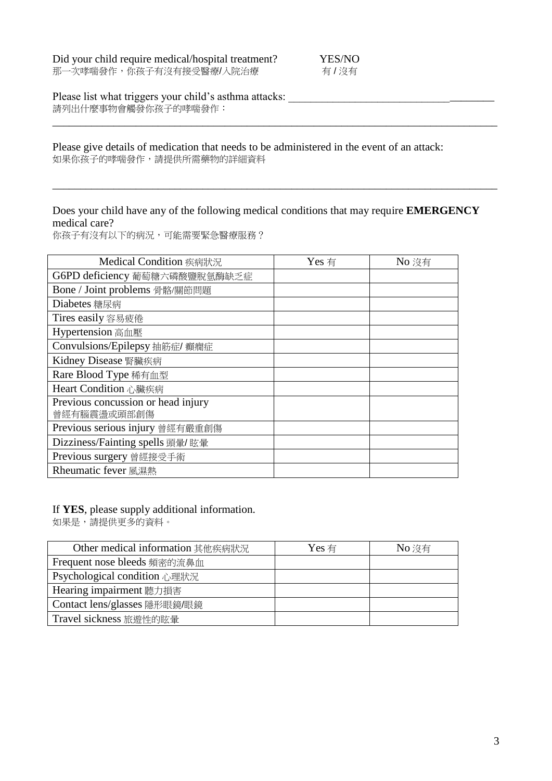| Did your child require medical/hospital treatment? | YES/NO |
|----------------------------------------------------|--------|
| 那一次哮喘發作,你孩子有沒有接受醫療/入院治療                            | 有/沒有   |

Please list what triggers your child's asthma attacks: \_\_\_\_\_\_\_\_\_\_\_\_\_\_\_\_\_\_\_\_\_\_\_\_\_\_\_\_\_\_\_\_\_\_\_\_\_ **請列出什麼事物會觸發你孩子的哮喘發作:** 

#### Please give details of medication that needs to be administered in the event of an attack: 如果你孩子的哮喘發作,請提供所需藥物的詳細資料

## Does your child have any of the following medical conditions that may require **EMERGENCY**  medical care?

\_\_\_\_\_\_\_\_\_\_\_\_\_\_\_\_\_\_\_\_\_\_\_\_\_\_\_\_\_\_\_\_\_\_\_\_\_\_\_\_\_\_\_\_\_\_\_\_\_\_\_\_\_\_\_\_\_\_\_\_\_\_\_\_\_\_\_\_\_\_\_\_\_\_\_\_\_\_\_\_

\_\_\_\_\_\_\_\_\_\_\_\_\_\_\_\_\_\_\_\_\_\_\_\_\_\_\_\_\_\_\_\_\_\_\_\_\_\_\_\_\_\_\_\_\_\_\_\_\_\_\_\_\_\_\_\_\_\_\_\_\_\_\_\_\_\_\_\_\_\_\_\_\_\_\_\_\_\_\_\_

你孩子有沒有以下的病況,可能需要緊急醫療服務?

| Medical Condition 疾病狀況                            | Yes 有 | No 沒有 |
|---------------------------------------------------|-------|-------|
| G6PD deficiency 葡萄糖六磷酸鹽脫氫酶缺乏症                     |       |       |
| Bone / Joint problems 骨骼/關節問題                     |       |       |
| Diabetes 糖尿病                                      |       |       |
| Tires easily 容易疲倦                                 |       |       |
| Hypertension 高血壓                                  |       |       |
| Convulsions/Epilepsy 抽筋症/ 癲癇症                     |       |       |
| Kidney Disease 腎臟疾病                               |       |       |
| Rare Blood Type 稀有血型                              |       |       |
| Heart Condition 心臟疾病                              |       |       |
| Previous concussion or head injury<br>曾經有腦震盪或頭部創傷 |       |       |
| Previous serious injury 曾經有嚴重創傷                   |       |       |
| Dizziness/Fainting spells 頭暈/ 眩暈                  |       |       |
| Previous surgery 曾經接受手術                           |       |       |
| Rheumatic fever 風濕熱                               |       |       |

## If **YES**, please supply additional information.

如果是,請提供更多的資料。

| Other medical information 其他疾病狀況 | Yes 有 | No 沒有 |
|----------------------------------|-------|-------|
| Frequent nose bleeds 頻密的流鼻血      |       |       |
| Psychological condition 心理狀況     |       |       |
| Hearing impairment 聽力損害          |       |       |
| Contact lens/glasses 隱形眼鏡/眼鏡     |       |       |
| Travel sickness 旅遊性的眩暈           |       |       |